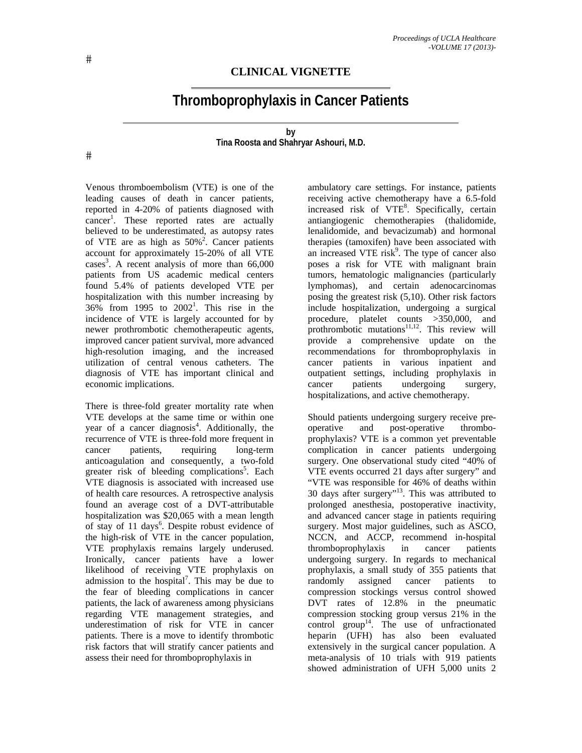## **CLINICAL VIGNETTE**

## **Thromboprophylaxis in Cancer Patients**

## **by Tina Roosta and Shahryar Ashouri, M.D.**

 $#$ 

Venous thromboembolism (VTE) is one of the leading causes of death in cancer patients, reported in 4-20% of patients diagnosed with cancer<sup>1</sup>. These reported rates are actually believed to be underestimated, as autopsy rates of VTE are as high as  $50\%$ <sup>2</sup>. Cancer patients account for approximately 15-20% of all VTE cases<sup>3</sup>. A recent analysis of more than 66,000 patients from US academic medical centers found 5.4% of patients developed VTE per hospitalization with this number increasing by  $36\%$  from 1995 to  $2002^1$ . This rise in the incidence of VTE is largely accounted for by newer prothrombotic chemotherapeutic agents, improved cancer patient survival, more advanced high-resolution imaging, and the increased utilization of central venous catheters. The diagnosis of VTE has important clinical and economic implications.

There is three-fold greater mortality rate when VTE develops at the same time or within one year of a cancer diagnosis<sup>4</sup>. Additionally, the recurrence of VTE is three-fold more frequent in cancer patients, requiring long-term anticoagulation and consequently, a two-fold greater risk of bleeding complications<sup>5</sup>. Each VTE diagnosis is associated with increased use of health care resources. A retrospective analysis found an average cost of a DVT-attributable hospitalization was \$20,065 with a mean length of stay of 11 days<sup>6</sup>. Despite robust evidence of the high-risk of VTE in the cancer population, VTE prophylaxis remains largely underused. Ironically, cancer patients have a lower likelihood of receiving VTE prophylaxis on admission to the hospital<sup>7</sup>. This may be due to the fear of bleeding complications in cancer patients, the lack of awareness among physicians regarding VTE management strategies, and underestimation of risk for VTE in cancer patients. There is a move to identify thrombotic risk factors that will stratify cancer patients and assess their need for thromboprophylaxis in

ambulatory care settings. For instance, patients receiving active chemotherapy have a 6.5-fold increased risk of VTE<sup>8</sup>. Specifically, certain antiangiogenic chemotherapies (thalidomide, lenalidomide, and bevacizumab) and hormonal therapies (tamoxifen) have been associated with an increased VTE risk $9$ . The type of cancer also poses a risk for VTE with malignant brain tumors, hematologic malignancies (particularly lymphomas), and certain adenocarcinomas posing the greatest risk (5,10). Other risk factors include hospitalization, undergoing a surgical procedure, platelet counts >350,000, and prothrombotic mutations<sup>11,12</sup>. This review will provide a comprehensive update on the recommendations for thromboprophylaxis in cancer patients in various inpatient and outpatient settings, including prophylaxis in cancer patients undergoing surgery, hospitalizations, and active chemotherapy.

Should patients undergoing surgery receive preoperative and post-operative thromboprophylaxis? VTE is a common yet preventable complication in cancer patients undergoing surgery. One observational study cited "40% of VTE events occurred 21 days after surgery" and "VTE was responsible for 46% of deaths within 30 days after surgery"<sup>13</sup>. This was attributed to prolonged anesthesia, postoperative inactivity, and advanced cancer stage in patients requiring surgery. Most major guidelines, such as ASCO, NCCN, and ACCP, recommend in-hospital thromboprophylaxis in cancer patients undergoing surgery. In regards to mechanical prophylaxis, a small study of 355 patients that randomly assigned cancer patients to compression stockings versus control showed DVT rates of 12.8% in the pneumatic compression stocking group versus 21% in the control group<sup>14</sup>. The use of unfractionated heparin (UFH) has also been evaluated extensively in the surgical cancer population. A meta-analysis of 10 trials with 919 patients showed administration of UFH 5,000 units 2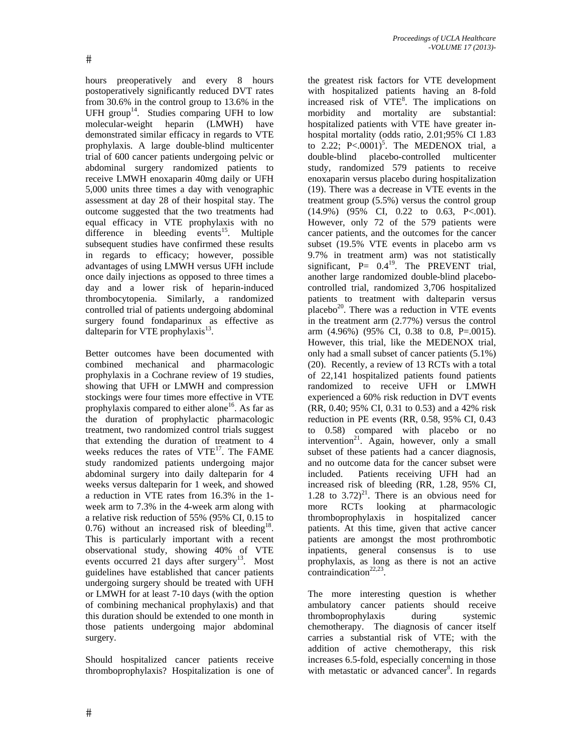hours preoperatively and every 8 hours postoperatively significantly reduced DVT rates from 30.6% in the control group to 13.6% in the UFH group<sup>14</sup>. Studies comparing UFH to low molecular-weight heparin (LMWH) have demonstrated similar efficacy in regards to VTE prophylaxis. A large double-blind multicenter trial of 600 cancer patients undergoing pelvic or abdominal surgery randomized patients to receive LMWH enoxaparin 40mg daily or UFH 5,000 units three times a day with venographic assessment at day 28 of their hospital stay. The outcome suggested that the two treatments had equal efficacy in VTE prophylaxis with no difference in bleeding events<sup>15</sup>. Multiple subsequent studies have confirmed these results in regards to efficacy; however, possible advantages of using LMWH versus UFH include once daily injections as opposed to three times a day and a lower risk of heparin-induced thrombocytopenia. Similarly, a randomized controlled trial of patients undergoing abdominal surgery found fondaparinux as effective as dalteparin for VTE prophylaxis $^{13}$ .

Better outcomes have been documented with combined mechanical and pharmacologic prophylaxis in a Cochrane review of 19 studies, showing that UFH or LMWH and compression stockings were four times more effective in VTE prophylaxis compared to either alone<sup>16</sup>. As far as the duration of prophylactic pharmacologic treatment, two randomized control trials suggest that extending the duration of treatment to 4 weeks reduces the rates of  $VTE^{17}$ . The FAME study randomized patients undergoing major abdominal surgery into daily dalteparin for 4 weeks versus dalteparin for 1 week, and showed a reduction in VTE rates from 16.3% in the 1 week arm to 7.3% in the 4-week arm along with a relative risk reduction of 55% (95% CI, 0.15 to 0.76) without an increased risk of bleeding<sup>18</sup>. This is particularly important with a recent observational study, showing 40% of VTE events occurred 21 days after surgery<sup>13</sup>. Most guidelines have established that cancer patients undergoing surgery should be treated with UFH or LMWH for at least 7-10 days (with the option of combining mechanical prophylaxis) and that this duration should be extended to one month in those patients undergoing major abdominal surgery.

Should hospitalized cancer patients receive thromboprophylaxis? Hospitalization is one of

the greatest risk factors for VTE development with hospitalized patients having an 8-fold increased risk of VTE<sup>8</sup>. The implications on morbidity and mortality are substantial: hospitalized patients with VTE have greater inhospital mortality (odds ratio, 2.01;95% CI 1.83 to 2.22;  $P < .0001$ <sup>5</sup>. The MEDENOX trial, a double-blind placebo-controlled multicenter study, randomized 579 patients to receive enoxaparin versus placebo during hospitalization (19). There was a decrease in VTE events in the treatment group (5.5%) versus the control group (14.9%) (95% CI, 0.22 to 0.63, P<.001). However, only 72 of the 579 patients were cancer patients, and the outcomes for the cancer subset (19.5% VTE events in placebo arm vs 9.7% in treatment arm) was not statistically significant,  $P = 0.4^{19}$ . The PREVENT trial, another large randomized double-blind placebocontrolled trial, randomized 3,706 hospitalized patients to treatment with dalteparin versus placebo $^{20}$ . There was a reduction in VTE events in the treatment arm (2.77%) versus the control arm (4.96%) (95% CI, 0.38 to 0.8, P=.0015). However, this trial, like the MEDENOX trial, only had a small subset of cancer patients (5.1%) (20). Recently, a review of 13 RCTs with a total of 22,141 hospitalized patients found patients randomized to receive UFH or LMWH experienced a 60% risk reduction in DVT events (RR, 0.40; 95% CI, 0.31 to 0.53) and a 42% risk reduction in PE events (RR, 0.58, 95% CI, 0.43 to 0.58) compared with placebo or no intervention<sup>21</sup>. Again, however, only a small subset of these patients had a cancer diagnosis, and no outcome data for the cancer subset were included. Patients receiving UFH had an increased risk of bleeding (RR, 1.28, 95% CI, 1.28 to  $3.72)^{21}$ . There is an obvious need for more RCTs looking at pharmacologic thromboprophylaxis in hospitalized cancer patients. At this time, given that active cancer patients are amongst the most prothrombotic inpatients, general consensus is to use prophylaxis, as long as there is not an active contraindication<sup>22,23</sup>

The more interesting question is whether ambulatory cancer patients should receive thromboprophylaxis during systemic chemotherapy. The diagnosis of cancer itself carries a substantial risk of VTE; with the addition of active chemotherapy, this risk increases 6.5-fold, especially concerning in those with metastatic or advanced cancer<sup>8</sup>. In regards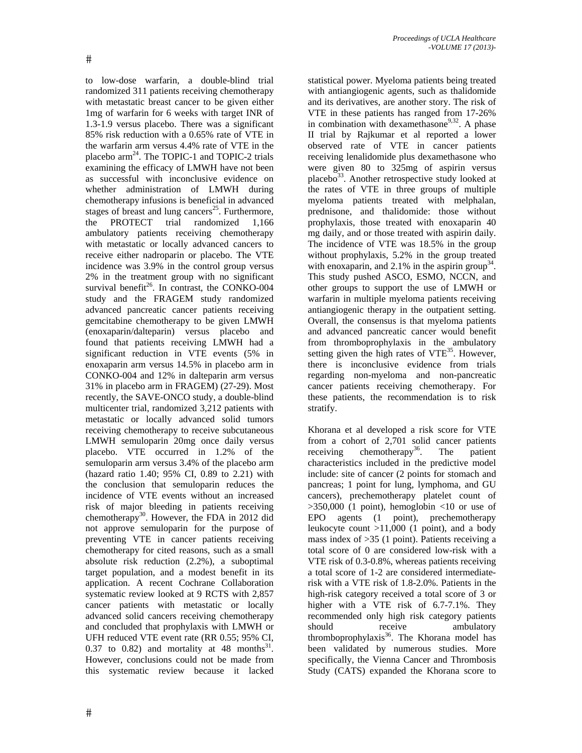to low-dose warfarin, a double-blind trial randomized 311 patients receiving chemotherapy with metastatic breast cancer to be given either 1mg of warfarin for 6 weeks with target INR of 1.3-1.9 versus placebo. There was a significant 85% risk reduction with a 0.65% rate of VTE in the warfarin arm versus 4.4% rate of VTE in the placebo arm<sup>24</sup>. The TOPIC-1 and TOPIC-2 trials examining the efficacy of LMWH have not been as successful with inconclusive evidence on whether administration of LMWH during chemotherapy infusions is beneficial in advanced stages of breast and lung cancers<sup>25</sup>. Furthermore, the PROTECT trial randomized 1,166 ambulatory patients receiving chemotherapy with metastatic or locally advanced cancers to receive either nadroparin or placebo. The VTE incidence was 3.9% in the control group versus 2% in the treatment group with no significant survival benefit<sup>26</sup>. In contrast, the CONKO-004 study and the FRAGEM study randomized advanced pancreatic cancer patients receiving gemcitabine chemotherapy to be given LMWH (enoxaparin/dalteparin) versus placebo and found that patients receiving LMWH had a significant reduction in VTE events (5% in enoxaparin arm versus 14.5% in placebo arm in CONKO-004 and 12% in dalteparin arm versus 31% in placebo arm in FRAGEM) (27-29). Most recently, the SAVE-ONCO study, a double-blind multicenter trial, randomized 3,212 patients with metastatic or locally advanced solid tumors receiving chemotherapy to receive subcutaneous LMWH semuloparin 20mg once daily versus placebo. VTE occurred in 1.2% of the semuloparin arm versus 3.4% of the placebo arm (hazard ratio 1.40; 95% CI, 0.89 to 2.21) with the conclusion that semuloparin reduces the incidence of VTE events without an increased risk of major bleeding in patients receiving chemotherapy<sup>30</sup>. However, the FDA in 2012 did not approve semuloparin for the purpose of preventing VTE in cancer patients receiving chemotherapy for cited reasons, such as a small absolute risk reduction (2.2%), a suboptimal target population, and a modest benefit in its application. A recent Cochrane Collaboration systematic review looked at 9 RCTS with 2,857 cancer patients with metastatic or locally advanced solid cancers receiving chemotherapy and concluded that prophylaxis with LMWH or UFH reduced VTE event rate (RR 0.55; 95% CI, 0.37 to 0.82) and mortality at 48 months<sup>31</sup>. However, conclusions could not be made from this systematic review because it lacked

statistical power. Myeloma patients being treated with antiangiogenic agents, such as thalidomide and its derivatives, are another story. The risk of VTE in these patients has ranged from 17-26% in combination with dexamethasone<sup>9,32</sup>. A phase II trial by Rajkumar et al reported a lower observed rate of VTE in cancer patients receiving lenalidomide plus dexamethasone who were given 80 to 325mg of aspirin versus placebo $33$ . Another retrospective study looked at the rates of VTE in three groups of multiple myeloma patients treated with melphalan, prednisone, and thalidomide: those without prophylaxis, those treated with enoxaparin 40 mg daily, and or those treated with aspirin daily. The incidence of VTE was 18.5% in the group without prophylaxis, 5.2% in the group treated with enoxaparin, and  $2.1\%$  in the aspirin group<sup>34</sup>. This study pushed ASCO, ESMO, NCCN, and other groups to support the use of LMWH or warfarin in multiple myeloma patients receiving antiangiogenic therapy in the outpatient setting. Overall, the consensus is that myeloma patients and advanced pancreatic cancer would benefit from thromboprophylaxis in the ambulatory setting given the high rates of  $VTE^{35}$ . However, there is inconclusive evidence from trials regarding non-myeloma and non-pancreatic cancer patients receiving chemotherapy. For these patients, the recommendation is to risk stratify.

Khorana et al developed a risk score for VTE from a cohort of 2,701 solid cancer patients receiving chemotherapy<sup>36</sup>. The patient characteristics included in the predictive model include: site of cancer (2 points for stomach and pancreas; 1 point for lung, lymphoma, and GU cancers), prechemotherapy platelet count of  $>350,000$  (1 point), hemoglobin  $<10$  or use of EPO agents (1 point), prechemotherapy leukocyte count >11,000 (1 point), and a body mass index of >35 (1 point). Patients receiving a total score of 0 are considered low-risk with a VTE risk of 0.3-0.8%, whereas patients receiving a total score of 1-2 are considered intermediaterisk with a VTE risk of 1.8-2.0%. Patients in the high-risk category received a total score of 3 or higher with a VTE risk of 6.7-7.1%. They recommended only high risk category patients should receive ambulatory thromboprophylaxis<sup>36</sup>. The Khorana model has been validated by numerous studies. More specifically, the Vienna Cancer and Thrombosis Study (CATS) expanded the Khorana score to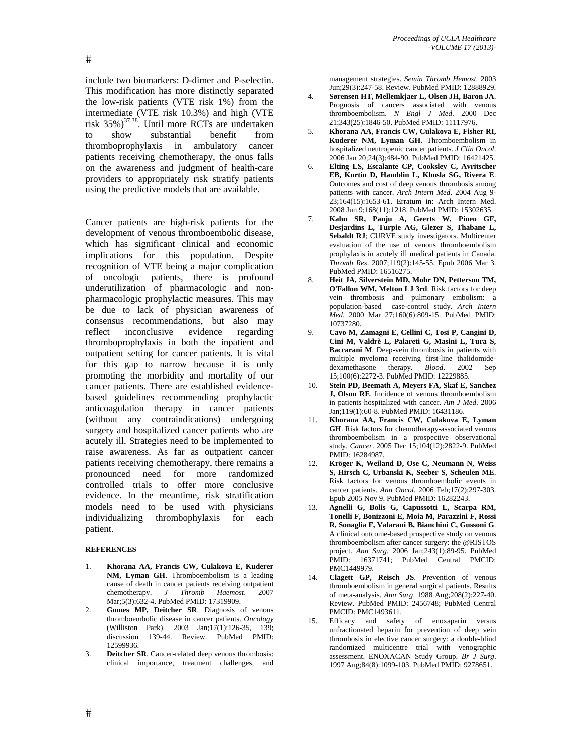include two biomarkers: D-dimer and P-selectin. This modification has more distinctly separated the low-risk patients (VTE risk 1%) from the intermediate (VTE risk 10.3%) and high (VTE risk  $35\%$ )<sup>37,38</sup>. Until more RCTs are undertaken to show substantial benefit from thromboprophylaxis in ambulatory cancer patients receiving chemotherapy, the onus falls on the awareness and judgment of health-care providers to appropriately risk stratify patients using the predictive models that are available.

Cancer patients are high-risk patients for the development of venous thromboembolic disease, which has significant clinical and economic implications for this population. Despite recognition of VTE being a major complication of oncologic patients, there is profound underutilization of pharmacologic and nonpharmacologic prophylactic measures. This may be due to lack of physician awareness of consensus recommendations, but also may reflect inconclusive evidence regarding thromboprophylaxis in both the inpatient and outpatient setting for cancer patients. It is vital for this gap to narrow because it is only promoting the morbidity and mortality of our cancer patients. There are established evidencebased guidelines recommending prophylactic anticoagulation therapy in cancer patients (without any contraindications) undergoing surgery and hospitalized cancer patients who are acutely ill. Strategies need to be implemented to raise awareness. As far as outpatient cancer patients receiving chemotherapy, there remains a pronounced need for more randomized controlled trials to offer more conclusive evidence. In the meantime, risk stratification models need to be used with physicians individualizing thrombophylaxis for each patient.

## **REFERENCES**

- 1. **Khorana AA, Francis CW, Culakova E, Kuderer NM, Lyman GH**. Thromboembolism is a leading cause of death in cancer patients receiving outpatient chemotherapy. *J Thromb Haemost*. 2007 Mar;5(3):632-4. PubMed PMID: 17319909.
- 2. **Gomes MP, Deitcher SR**. Diagnosis of venous thromboembolic disease in cancer patients. *Oncology* (Williston Park). 2003 Jan;17(1):126-35, 139; discussion 139-44. Review. PubMed PMID: 12599936.
- 3. **Deitcher SR**. Cancer-related deep venous thrombosis: clinical importance, treatment challenges, and

management strategies. *Semin Thromb Hemost*. 2003 Jun;29(3):247-58. Review. PubMed PMID: 12888929.

- 4. **Sørensen HT, Mellemkjaer L, Olsen JH, Baron JA**. Prognosis of cancers associated with venous thromboembolism. *N Engl J Med*. 2000 Dec 21;343(25):1846-50. PubMed PMID: 11117976.
- 5. **Khorana AA, Francis CW, Culakova E, Fisher RI, Kuderer NM, Lyman GH**. Thromboembolism in hospitalized neutropenic cancer patients. *J Clin Oncol*. 2006 Jan 20;24(3):484-90. PubMed PMID: 16421425.
- 6. **Elting LS, Escalante CP, Cooksley C, Avritscher EB, Kurtin D, Hamblin L, Khosla SG, Rivera E**. Outcomes and cost of deep venous thrombosis among patients with cancer. *Arch Intern Med*. 2004 Aug 9- 23;164(15):1653-61. Erratum in: Arch Intern Med. 2008 Jun 9;168(11):1218. PubMed PMID: 15302635.
- 7. **Kahn SR, Panju A, Geerts W, Pineo GF, Desjardins L, Turpie AG, Glezer S, Thabane L, Sebaldt RJ**; CURVE study investigators. Multicenter evaluation of the use of venous thromboembolism prophylaxis in acutely ill medical patients in Canada. *Thromb Res*. 2007;119(2):145-55. Epub 2006 Mar 3. PubMed PMID: 16516275.
- 8. **Heit JA, Silverstein MD, Mohr DN, Petterson TM, O'Fallon WM, Melton LJ 3rd**. Risk factors for deep vein thrombosis and pulmonary embolism: a population-based case-control study. *Arch Intern Med*. 2000 Mar 27;160(6):809-15. PubMed PMID: 10737280.
- 9. **Cavo M, Zamagni E, Cellini C, Tosi P, Cangini D, Cini M, Valdrè L, Palareti G, Masini L, Tura S, Baccarani M**. Deep-vein thrombosis in patients with multiple myeloma receiving first-line thalidomide-<br>dexamethasone therapy.  $Blood.$  2002 Sep dexamethasone therapy. 15;100(6):2272-3. PubMed PMID: 12229885.
- 10. **Stein PD, Beemath A, Meyers FA, Skaf E, Sanchez J, Olson RE**. Incidence of venous thromboembolism in patients hospitalized with cancer. *Am J Med*. 2006 Jan;119(1):60-8. PubMed PMID: 16431186.
- 11. **Khorana AA, Francis CW, Culakova E, Lyman GH**. Risk factors for chemotherapy-associated venous thromboembolism in a prospective observational study. *Cancer*. 2005 Dec 15;104(12):2822-9. PubMed PMID: 16284987.
- 12. **Kröger K, Weiland D, Ose C, Neumann N, Weiss S, Hirsch C, Urbanski K, Seeber S, Scheulen ME**. Risk factors for venous thromboembolic events in cancer patients. *Ann Oncol*. 2006 Feb;17(2):297-303. Epub 2005 Nov 9. PubMed PMID: 16282243.
- 13. **Agnelli G, Bolis G, Capussotti L, Scarpa RM, Tonelli F, Bonizzoni E, Moia M, Parazzini F, Rossi R, Sonaglia F, Valarani B, Bianchini C, Gussoni G**. A clinical outcome-based prospective study on venous thromboembolism after cancer surgery: the @RISTOS project. *Ann Surg*. 2006 Jan;243(1):89-95. PubMed PMID: 16371741; PubMed Central PMCID: PMC1449979.
- 14. **Clagett GP, Reisch JS**. Prevention of venous thromboembolism in general surgical patients. Results of meta-analysis. *Ann Surg*. 1988 Aug;208(2):227-40. Review. PubMed PMID: 2456748; PubMed Central PMCID: PMC1493611.
- 15. Efficacy and safety of enoxaparin versus unfractionated heparin for prevention of deep vein thrombosis in elective cancer surgery: a double-blind randomized multicentre trial with venographic assessment. ENOXACAN Study Group. *Br J Surg*. 1997 Aug;84(8):1099-103. PubMed PMID: 9278651.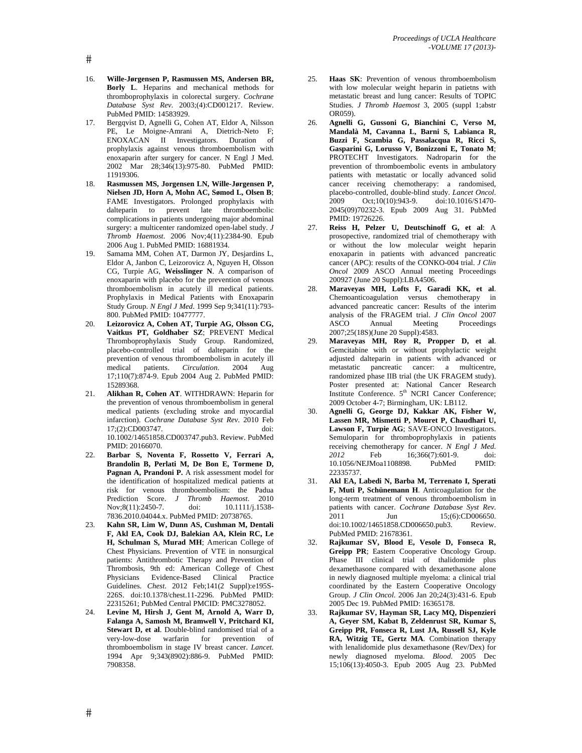- 16. **Wille-Jørgensen P, Rasmussen MS, Andersen BR, Borly L**. Heparins and mechanical methods for thromboprophylaxis in colorectal surgery. *Cochrane Database Syst Rev*. 2003;(4):CD001217. Review. PubMed PMID: 14583929.
- 17. Bergqvist D, Agnelli G, Cohen AT, Eldor A, Nilsson PE, Le Moigne-Amrani A, Dietrich-Neto F; ENOXACAN II Investigators. Duration of prophylaxis against venous thromboembolism with enoxaparin after surgery for cancer. N Engl J Med. 2002 Mar 28;346(13):975-80. PubMed PMID: 11919306.
- 18. **Rasmussen MS, Jorgensen LN, Wille-Jørgensen P, Nielsen JD, Horn A, Mohn AC, Sømod L, Olsen B**; FAME Investigators. Prolonged prophylaxis with dalteparin to prevent late thromboembolic complications in patients undergoing major abdominal surgery: a multicenter randomized open-label study. *J Thromb Haemost*. 2006 Nov;4(11):2384-90. Epub 2006 Aug 1. PubMed PMID: 16881934.
- 19. Samama MM, Cohen AT, Darmon JY, Desjardins L, Eldor A, Janbon C, Leizorovicz A, Nguyen H, Olsson CG, Turpie AG, **Weisslinger N**. A comparison of enoxaparin with placebo for the prevention of venous thromboembolism in acutely ill medical patients. Prophylaxis in Medical Patients with Enoxaparin Study Group. *N Engl J Med*. 1999 Sep 9;341(11):793- 800. PubMed PMID: 10477777.
- 20. **Leizorovicz A, Cohen AT, Turpie AG, Olsson CG, Vaitkus PT, Goldhaber SZ**; PREVENT Medical Thromboprophylaxis Study Group. Randomized, placebo-controlled trial of dalteparin for the prevention of venous thromboembolism in acutely ill<br>medical patients. Circulation. 2004 Aug medical patients. *Circulation*. 2004 Aug 17;110(7):874-9. Epub 2004 Aug 2. PubMed PMID: 15289368.
- 21. **Alikhan R, Cohen AT**. WITHDRAWN: Heparin for the prevention of venous thromboembolism in general medical patients (excluding stroke and myocardial infarction). *Cochrane Database Syst Rev*. 2010 Feb 17;(2):CD003747. doi: 10.1002/14651858.CD003747.pub3. Review. PubMed PMID: 20166070.
- 22. **Barbar S, Noventa F, Rossetto V, Ferrari A, Brandolin B, Perlati M, De Bon E, Tormene D, Pagnan A, Prandoni P.** A risk assessment model for the identification of hospitalized medical patients at risk for venous thromboembolism: the Padua Prediction Score. *J Thromb Haemost*. 2010 Nov;8(11):2450-7. 7836.2010.04044.x. PubMed PMID: 20738765.
- 23. **Kahn SR, Lim W, Dunn AS, Cushman M, Dentali F, Akl EA, Cook DJ, Balekian AA, Klein RC, Le H, Schulman S, Murad MH**; American College of Chest Physicians. Prevention of VTE in nonsurgical patients: Antithrombotic Therapy and Prevention of Thrombosis, 9th ed: American College of Chest Physicians Evidence-Based Clinical Practice Guidelines. *Chest*. 2012 Feb;141(2 Suppl):e195S-226S. doi:10.1378/chest.11-2296. PubMed PMID: 22315261; PubMed Central PMCID: PMC3278052.
- 24. **Levine M, Hirsh J, Gent M, Arnold A, Warr D, Falanga A, Samosh M, Bramwell V, Pritchard KI, Stewart D, et al**. Double-blind randomised trial of a very-low-dose warfarin for prevention of thromboembolism in stage IV breast cancer. *Lancet*. 1994 Apr 9;343(8902):886-9. PubMed PMID: 7908358.
- 25. **Haas SK**: Prevention of venous thromboembolism with low molecular weight heparin in patietns with metastatic breast and lung cancer: Results of TOPIC Studies. *J Thromb Haemost* 3, 2005 (suppl 1;abstr OR059).
- 26. **Agnelli G, Gussoni G, Bianchini C, Verso M, Mandalà M, Cavanna L, Barni S, Labianca R, Buzzi F, Scambia G, Passalacqua R, Ricci S, Gasparini G, Lorusso V, Bonizzoni E, Tonato M**; PROTECHT Investigators. Nadroparin for the prevention of thromboembolic events in ambulatory patients with metastatic or locally advanced solid cancer receiving chemotherapy: a randomised, placebo-controlled, double-blind study. *Lancet Oncol*. 2009 Oct;10(10):943-9. doi:10.1016/S1470- 2045(09)70232-3. Epub 2009 Aug 31. PubMed PMID: 19726226.
- 27. **Reiss H, Pelzer U, Deutschinoff G, et al**: A prosopective, randomized trial of chemotherapy with or without the low molecular weight heparin enoxaparin in patients with advanced pancreatic cancer (APC): results of the CONKO-004 trial. *J Clin Oncol* 2009 ASCO Annual meeting Proceedings 200927 (June 20 Suppl):LBA4506.
- 28. **Maraveyas MH, Lofts F, Garadi KK, et al**. Chemoanticoagulation versus chemotherapy in advanced pancreatic cancer: Results of the interim analysis of the FRAGEM trial. *J Clin Oncol* 2007 ASCO Annual Meeting Proceedings 2007;25(18S)(June 20 Suppl):4583.
- 29. **Maraveyas MH, Roy R, Propper D, et al**. Gemcitabine with or without prophylactic weight adjusted dalteparin in patients with advanced or metastatic pancreatic cancer: a multicentre, randomized phase IIB trial (the UK FRAGEM study). Poster presented at: National Cancer Research Institute Conference. 5<sup>th</sup> NCRI Cancer Conference; 2009 October 4-7; Birmingham, UK: LB112.
- 30. **Agnelli G, George DJ, Kakkar AK, Fisher W, Lassen MR, Mismetti P, Mouret P, Chaudhari U, Lawson F, Turpie AG**; SAVE-ONCO Investigators. Semuloparin for thromboprophylaxis in patients receiving chemotherapy for cancer. *N Engl J Med.*<br>  $2012$  Feb 16;366(7):601-9. doi: **2012 2013 2013 2013 2014 2014 2014 2014 2014 2014 2014 2014 2014 2014 2014 2014 2014 2014 2014 2014 2014 2014 2014 2014 2014 2014 2014 2014 2014 2014 2014 2014** 10.1056/NEJMoa1108898. PubMed 22335737.
- 31. **Akl EA, Labedi N, Barba M, Terrenato I, Sperati F, Muti P, Schünemann H**. Anticoagulation for the long-term treatment of venous thromboembolism in patients with cancer. *Cochrane Database Syst Rev*. 2011 Jun 15;(6):CD006650. doi:10.1002/14651858.CD006650.pub3. Review. PubMed PMID: 21678361.
- 32. **Rajkumar SV, Blood E, Vesole D, Fonseca R, Greipp PR**; Eastern Cooperative Oncology Group. Phase III clinical trial of thalidomide plus dexamethasone compared with dexamethasone alone in newly diagnosed multiple myeloma: a clinical trial coordinated by the Eastern Cooperative Oncology Group. *J Clin Oncol*. 2006 Jan 20;24(3):431-6. Epub 2005 Dec 19. PubMed PMID: 16365178.
- 33. **Rajkumar SV, Hayman SR, Lacy MQ, Dispenzieri A, Geyer SM, Kabat B, Zeldenrust SR, Kumar S, Greipp PR, Fonseca R, Lust JA, Russell SJ, Kyle RA, Witzig TE, Gertz MA**. Combination therapy with lenalidomide plus dexamethasone (Rev/Dex) for newly diagnosed myeloma. *Blood*. 2005 Dec 15;106(13):4050-3. Epub 2005 Aug 23. PubMed

 $#$